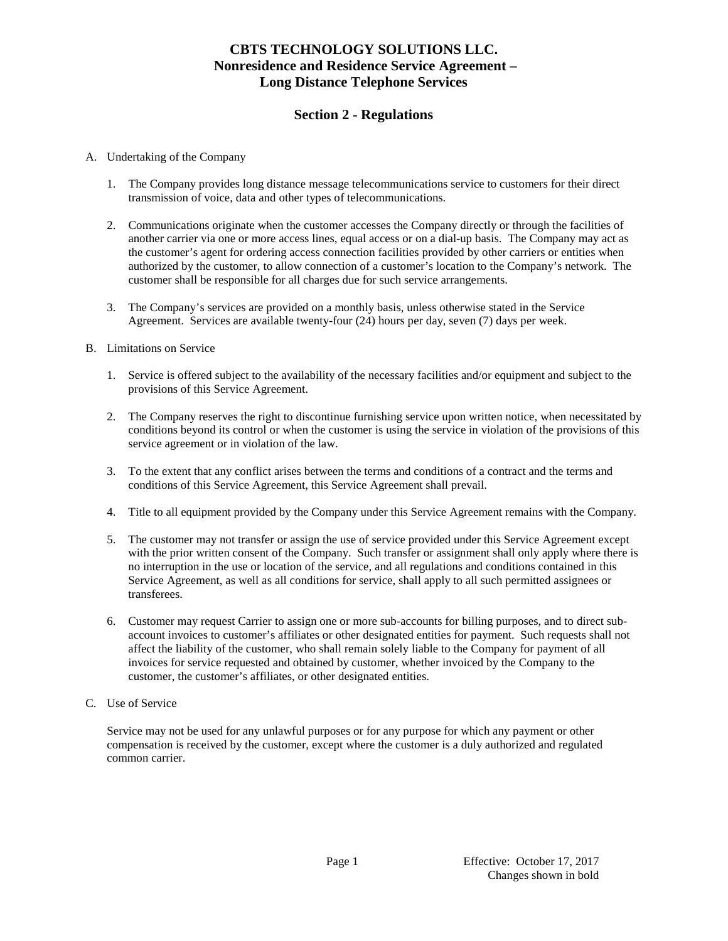# **Section 2 - Regulations**

### A. Undertaking of the Company

- 1. The Company provides long distance message telecommunications service to customers for their direct transmission of voice, data and other types of telecommunications.
- 2. Communications originate when the customer accesses the Company directly or through the facilities of another carrier via one or more access lines, equal access or on a dial-up basis. The Company may act as the customer's agent for ordering access connection facilities provided by other carriers or entities when authorized by the customer, to allow connection of a customer's location to the Company's network. The customer shall be responsible for all charges due for such service arrangements.
- 3. The Company's services are provided on a monthly basis, unless otherwise stated in the Service Agreement. Services are available twenty-four (24) hours per day, seven (7) days per week.

#### B. Limitations on Service

- 1. Service is offered subject to the availability of the necessary facilities and/or equipment and subject to the provisions of this Service Agreement.
- 2. The Company reserves the right to discontinue furnishing service upon written notice, when necessitated by conditions beyond its control or when the customer is using the service in violation of the provisions of this service agreement or in violation of the law.
- 3. To the extent that any conflict arises between the terms and conditions of a contract and the terms and conditions of this Service Agreement, this Service Agreement shall prevail.
- 4. Title to all equipment provided by the Company under this Service Agreement remains with the Company.
- 5. The customer may not transfer or assign the use of service provided under this Service Agreement except with the prior written consent of the Company. Such transfer or assignment shall only apply where there is no interruption in the use or location of the service, and all regulations and conditions contained in this Service Agreement, as well as all conditions for service, shall apply to all such permitted assignees or transferees.
- 6. Customer may request Carrier to assign one or more sub-accounts for billing purposes, and to direct subaccount invoices to customer's affiliates or other designated entities for payment. Such requests shall not affect the liability of the customer, who shall remain solely liable to the Company for payment of all invoices for service requested and obtained by customer, whether invoiced by the Company to the customer, the customer's affiliates, or other designated entities.
- C. Use of Service

Service may not be used for any unlawful purposes or for any purpose for which any payment or other compensation is received by the customer, except where the customer is a duly authorized and regulated common carrier.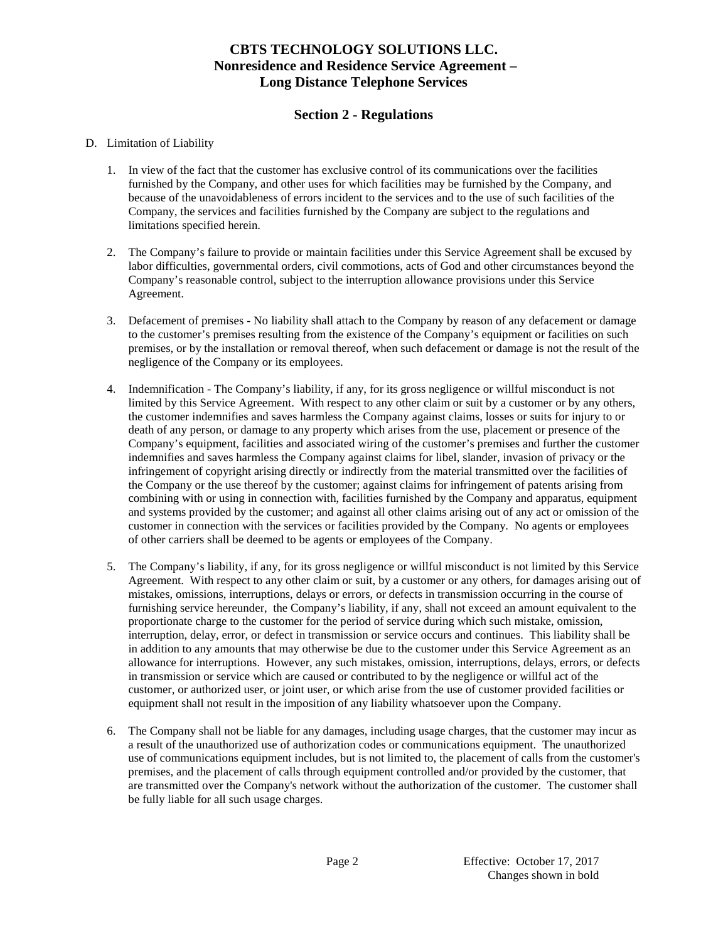# **Section 2 - Regulations**

### D. Limitation of Liability

- 1. In view of the fact that the customer has exclusive control of its communications over the facilities furnished by the Company, and other uses for which facilities may be furnished by the Company, and because of the unavoidableness of errors incident to the services and to the use of such facilities of the Company, the services and facilities furnished by the Company are subject to the regulations and limitations specified herein.
- 2. The Company's failure to provide or maintain facilities under this Service Agreement shall be excused by labor difficulties, governmental orders, civil commotions, acts of God and other circumstances beyond the Company's reasonable control, subject to the interruption allowance provisions under this Service Agreement.
- 3. Defacement of premises No liability shall attach to the Company by reason of any defacement or damage to the customer's premises resulting from the existence of the Company's equipment or facilities on such premises, or by the installation or removal thereof, when such defacement or damage is not the result of the negligence of the Company or its employees.
- 4. Indemnification The Company's liability, if any, for its gross negligence or willful misconduct is not limited by this Service Agreement. With respect to any other claim or suit by a customer or by any others, the customer indemnifies and saves harmless the Company against claims, losses or suits for injury to or death of any person, or damage to any property which arises from the use, placement or presence of the Company's equipment, facilities and associated wiring of the customer's premises and further the customer indemnifies and saves harmless the Company against claims for libel, slander, invasion of privacy or the infringement of copyright arising directly or indirectly from the material transmitted over the facilities of the Company or the use thereof by the customer; against claims for infringement of patents arising from combining with or using in connection with, facilities furnished by the Company and apparatus, equipment and systems provided by the customer; and against all other claims arising out of any act or omission of the customer in connection with the services or facilities provided by the Company. No agents or employees of other carriers shall be deemed to be agents or employees of the Company.
- 5. The Company's liability, if any, for its gross negligence or willful misconduct is not limited by this Service Agreement. With respect to any other claim or suit, by a customer or any others, for damages arising out of mistakes, omissions, interruptions, delays or errors, or defects in transmission occurring in the course of furnishing service hereunder, the Company's liability, if any, shall not exceed an amount equivalent to the proportionate charge to the customer for the period of service during which such mistake, omission, interruption, delay, error, or defect in transmission or service occurs and continues. This liability shall be in addition to any amounts that may otherwise be due to the customer under this Service Agreement as an allowance for interruptions. However, any such mistakes, omission, interruptions, delays, errors, or defects in transmission or service which are caused or contributed to by the negligence or willful act of the customer, or authorized user, or joint user, or which arise from the use of customer provided facilities or equipment shall not result in the imposition of any liability whatsoever upon the Company.
- 6. The Company shall not be liable for any damages, including usage charges, that the customer may incur as a result of the unauthorized use of authorization codes or communications equipment. The unauthorized use of communications equipment includes, but is not limited to, the placement of calls from the customer's premises, and the placement of calls through equipment controlled and/or provided by the customer, that are transmitted over the Company's network without the authorization of the customer. The customer shall be fully liable for all such usage charges.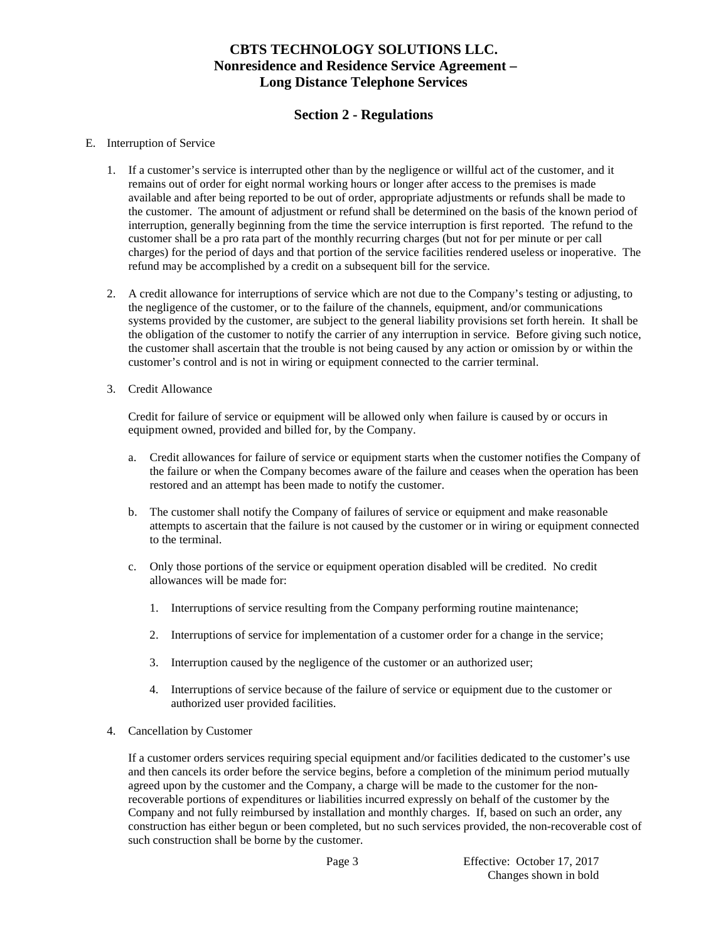# **Section 2 - Regulations**

### E. Interruption of Service

- 1. If a customer's service is interrupted other than by the negligence or willful act of the customer, and it remains out of order for eight normal working hours or longer after access to the premises is made available and after being reported to be out of order, appropriate adjustments or refunds shall be made to the customer. The amount of adjustment or refund shall be determined on the basis of the known period of interruption, generally beginning from the time the service interruption is first reported. The refund to the customer shall be a pro rata part of the monthly recurring charges (but not for per minute or per call charges) for the period of days and that portion of the service facilities rendered useless or inoperative. The refund may be accomplished by a credit on a subsequent bill for the service.
- 2. A credit allowance for interruptions of service which are not due to the Company's testing or adjusting, to the negligence of the customer, or to the failure of the channels, equipment, and/or communications systems provided by the customer, are subject to the general liability provisions set forth herein. It shall be the obligation of the customer to notify the carrier of any interruption in service. Before giving such notice, the customer shall ascertain that the trouble is not being caused by any action or omission by or within the customer's control and is not in wiring or equipment connected to the carrier terminal.
- 3. Credit Allowance

Credit for failure of service or equipment will be allowed only when failure is caused by or occurs in equipment owned, provided and billed for, by the Company.

- a. Credit allowances for failure of service or equipment starts when the customer notifies the Company of the failure or when the Company becomes aware of the failure and ceases when the operation has been restored and an attempt has been made to notify the customer.
- b. The customer shall notify the Company of failures of service or equipment and make reasonable attempts to ascertain that the failure is not caused by the customer or in wiring or equipment connected to the terminal.
- c. Only those portions of the service or equipment operation disabled will be credited. No credit allowances will be made for:
	- 1. Interruptions of service resulting from the Company performing routine maintenance;
	- 2. Interruptions of service for implementation of a customer order for a change in the service;
	- 3. Interruption caused by the negligence of the customer or an authorized user;
	- 4. Interruptions of service because of the failure of service or equipment due to the customer or authorized user provided facilities.
- 4. Cancellation by Customer

If a customer orders services requiring special equipment and/or facilities dedicated to the customer's use and then cancels its order before the service begins, before a completion of the minimum period mutually agreed upon by the customer and the Company, a charge will be made to the customer for the nonrecoverable portions of expenditures or liabilities incurred expressly on behalf of the customer by the Company and not fully reimbursed by installation and monthly charges. If, based on such an order, any construction has either begun or been completed, but no such services provided, the non-recoverable cost of such construction shall be borne by the customer.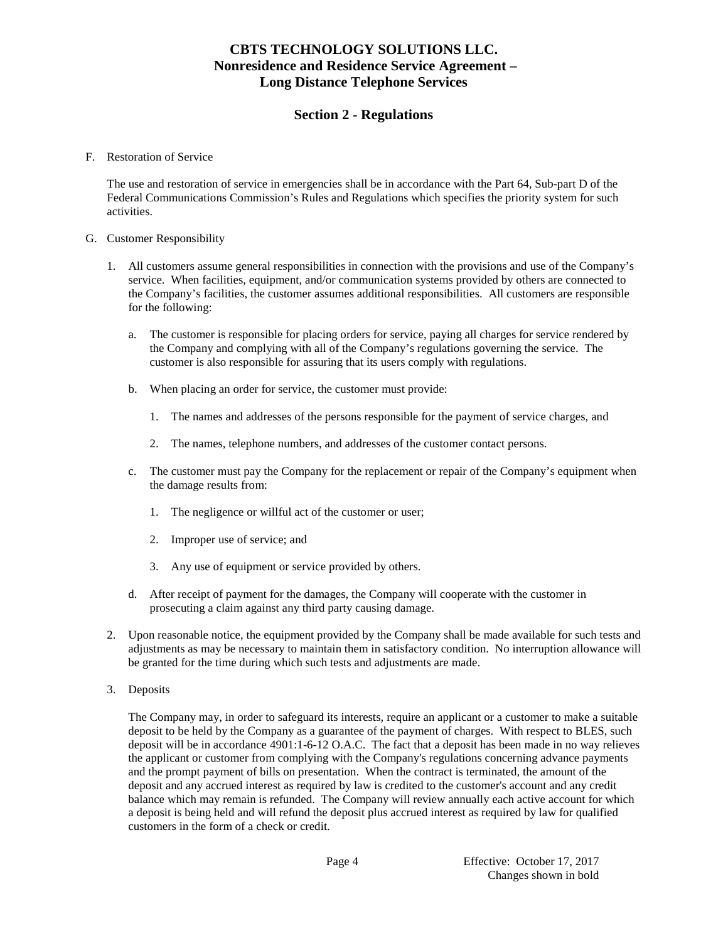## **Section 2 - Regulations**

#### F. Restoration of Service

The use and restoration of service in emergencies shall be in accordance with the Part 64, Sub-part D of the Federal Communications Commission's Rules and Regulations which specifies the priority system for such activities.

#### G. Customer Responsibility

- 1. All customers assume general responsibilities in connection with the provisions and use of the Company's service. When facilities, equipment, and/or communication systems provided by others are connected to the Company's facilities, the customer assumes additional responsibilities. All customers are responsible for the following:
	- a. The customer is responsible for placing orders for service, paying all charges for service rendered by the Company and complying with all of the Company's regulations governing the service. The customer is also responsible for assuring that its users comply with regulations.
	- b. When placing an order for service, the customer must provide:
		- 1. The names and addresses of the persons responsible for the payment of service charges, and
		- 2. The names, telephone numbers, and addresses of the customer contact persons.
	- c. The customer must pay the Company for the replacement or repair of the Company's equipment when the damage results from:
		- 1. The negligence or willful act of the customer or user;
		- 2. Improper use of service; and
		- 3. Any use of equipment or service provided by others.
	- d. After receipt of payment for the damages, the Company will cooperate with the customer in prosecuting a claim against any third party causing damage.
- 2. Upon reasonable notice, the equipment provided by the Company shall be made available for such tests and adjustments as may be necessary to maintain them in satisfactory condition. No interruption allowance will be granted for the time during which such tests and adjustments are made.
- 3. Deposits

The Company may, in order to safeguard its interests, require an applicant or a customer to make a suitable deposit to be held by the Company as a guarantee of the payment of charges. With respect to BLES, such deposit will be in accordance 4901:1-6-12 O.A.C. The fact that a deposit has been made in no way relieves the applicant or customer from complying with the Company's regulations concerning advance payments and the prompt payment of bills on presentation. When the contract is terminated, the amount of the deposit and any accrued interest as required by law is credited to the customer's account and any credit balance which may remain is refunded. The Company will review annually each active account for which a deposit is being held and will refund the deposit plus accrued interest as required by law for qualified customers in the form of a check or credit.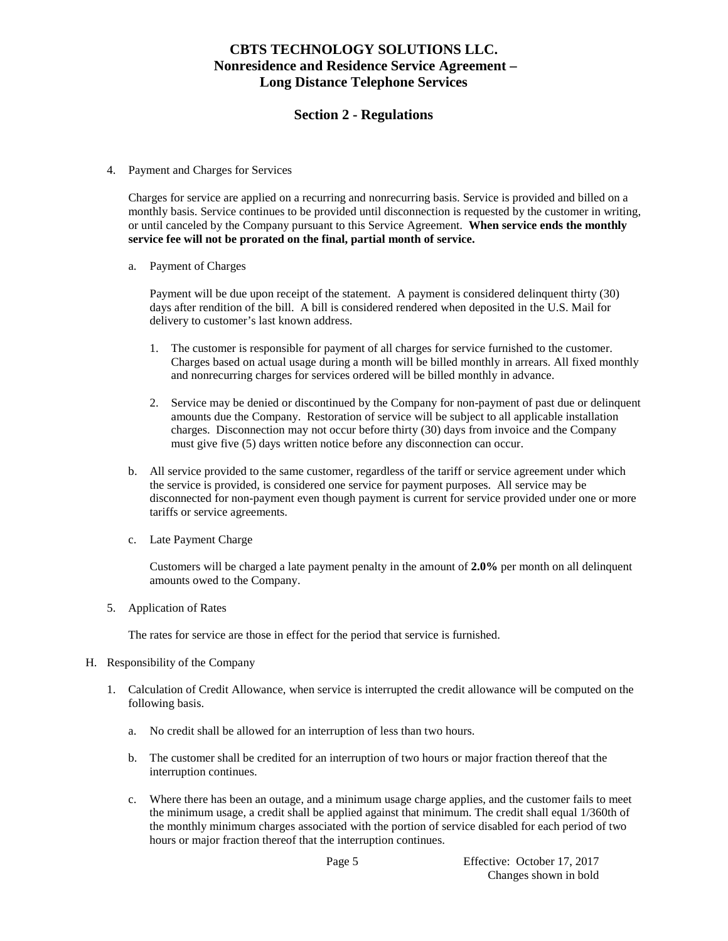### **Section 2 - Regulations**

4. Payment and Charges for Services

Charges for service are applied on a recurring and nonrecurring basis. Service is provided and billed on a monthly basis. Service continues to be provided until disconnection is requested by the customer in writing, or until canceled by the Company pursuant to this Service Agreement. **When service ends the monthly service fee will not be prorated on the final, partial month of service.**

a. Payment of Charges

Payment will be due upon receipt of the statement. A payment is considered delinquent thirty (30) days after rendition of the bill. A bill is considered rendered when deposited in the U.S. Mail for delivery to customer's last known address.

- 1. The customer is responsible for payment of all charges for service furnished to the customer. Charges based on actual usage during a month will be billed monthly in arrears. All fixed monthly and nonrecurring charges for services ordered will be billed monthly in advance.
- 2. Service may be denied or discontinued by the Company for non-payment of past due or delinquent amounts due the Company. Restoration of service will be subject to all applicable installation charges. Disconnection may not occur before thirty (30) days from invoice and the Company must give five (5) days written notice before any disconnection can occur.
- b. All service provided to the same customer, regardless of the tariff or service agreement under which the service is provided, is considered one service for payment purposes. All service may be disconnected for non-payment even though payment is current for service provided under one or more tariffs or service agreements.
- c. Late Payment Charge

Customers will be charged a late payment penalty in the amount of **2.0%** per month on all delinquent amounts owed to the Company.

5. Application of Rates

The rates for service are those in effect for the period that service is furnished.

- H. Responsibility of the Company
	- 1. Calculation of Credit Allowance, when service is interrupted the credit allowance will be computed on the following basis.
		- a. No credit shall be allowed for an interruption of less than two hours.
		- b. The customer shall be credited for an interruption of two hours or major fraction thereof that the interruption continues.
		- c. Where there has been an outage, and a minimum usage charge applies, and the customer fails to meet the minimum usage, a credit shall be applied against that minimum. The credit shall equal 1/360th of the monthly minimum charges associated with the portion of service disabled for each period of two hours or major fraction thereof that the interruption continues.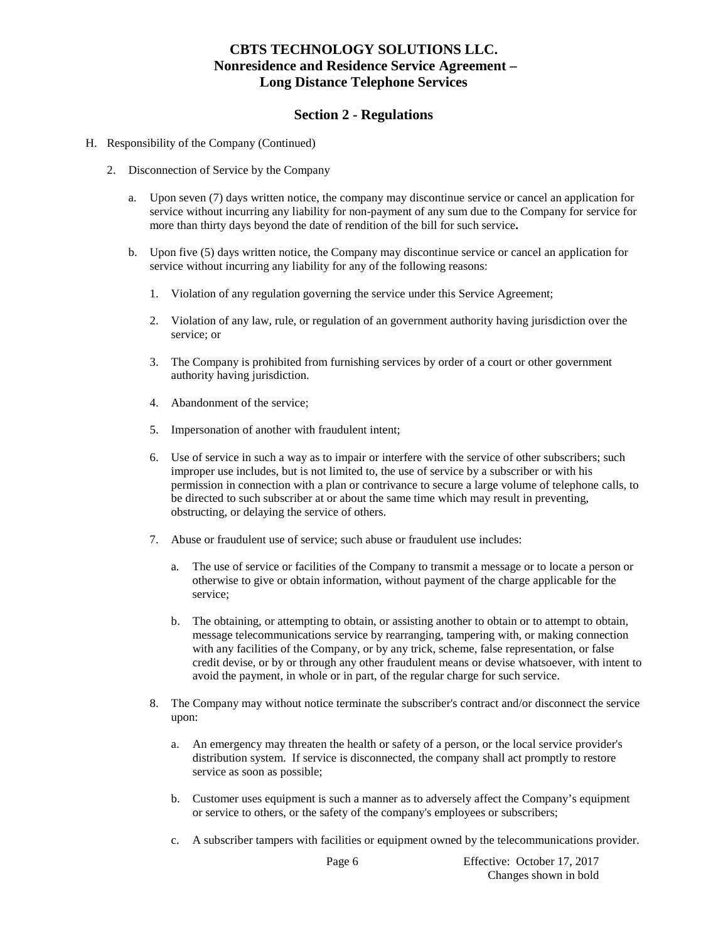### **Section 2 - Regulations**

- H. Responsibility of the Company (Continued)
	- 2. Disconnection of Service by the Company
		- a. Upon seven (7) days written notice, the company may discontinue service or cancel an application for service without incurring any liability for non-payment of any sum due to the Company for service for more than thirty days beyond the date of rendition of the bill for such service**.**
		- b. Upon five (5) days written notice, the Company may discontinue service or cancel an application for service without incurring any liability for any of the following reasons:
			- 1. Violation of any regulation governing the service under this Service Agreement;
			- 2. Violation of any law, rule, or regulation of an government authority having jurisdiction over the service; or
			- 3. The Company is prohibited from furnishing services by order of a court or other government authority having jurisdiction.
			- 4. Abandonment of the service;
			- 5. Impersonation of another with fraudulent intent;
			- 6. Use of service in such a way as to impair or interfere with the service of other subscribers; such improper use includes, but is not limited to, the use of service by a subscriber or with his permission in connection with a plan or contrivance to secure a large volume of telephone calls, to be directed to such subscriber at or about the same time which may result in preventing, obstructing, or delaying the service of others.
			- 7. Abuse or fraudulent use of service; such abuse or fraudulent use includes:
				- a. The use of service or facilities of the Company to transmit a message or to locate a person or otherwise to give or obtain information, without payment of the charge applicable for the service;
				- b. The obtaining, or attempting to obtain, or assisting another to obtain or to attempt to obtain, message telecommunications service by rearranging, tampering with, or making connection with any facilities of the Company, or by any trick, scheme, false representation, or false credit devise, or by or through any other fraudulent means or devise whatsoever, with intent to avoid the payment, in whole or in part, of the regular charge for such service.
			- 8. The Company may without notice terminate the subscriber's contract and/or disconnect the service upon:
				- a. An emergency may threaten the health or safety of a person, or the local service provider's distribution system. If service is disconnected, the company shall act promptly to restore service as soon as possible;
				- b. Customer uses equipment is such a manner as to adversely affect the Company's equipment or service to others, or the safety of the company's employees or subscribers;
				- c. A subscriber tampers with facilities or equipment owned by the telecommunications provider.

Page 6 Effective: October 17, 2017 Changes shown in bold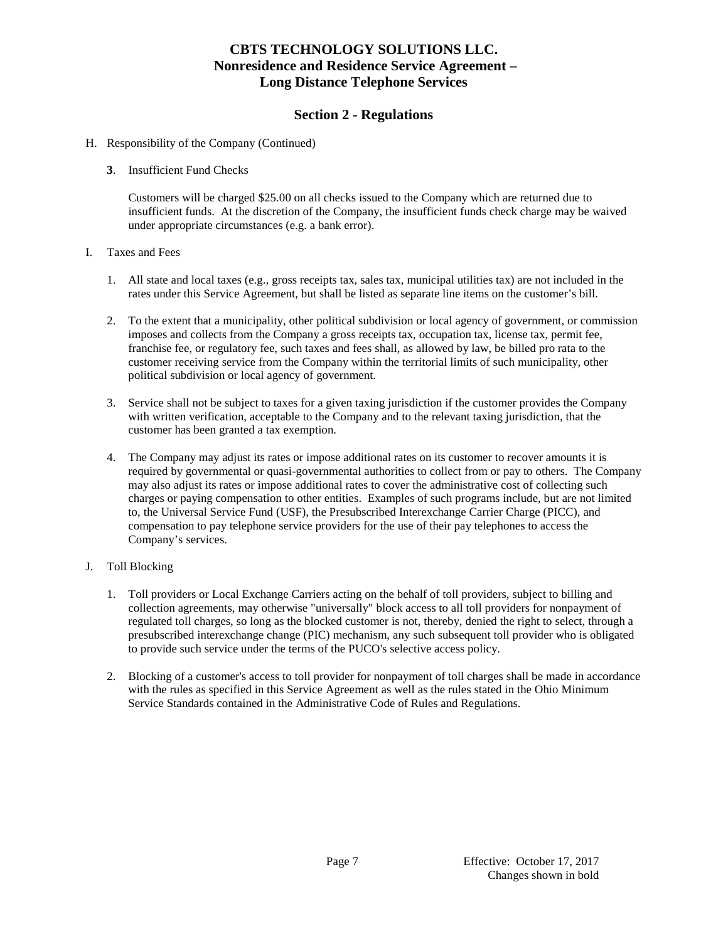## **Section 2 - Regulations**

### H. Responsibility of the Company (Continued)

**3**. Insufficient Fund Checks

Customers will be charged \$25.00 on all checks issued to the Company which are returned due to insufficient funds. At the discretion of the Company, the insufficient funds check charge may be waived under appropriate circumstances (e.g. a bank error).

### I. Taxes and Fees

- 1. All state and local taxes (e.g., gross receipts tax, sales tax, municipal utilities tax) are not included in the rates under this Service Agreement, but shall be listed as separate line items on the customer's bill.
- 2. To the extent that a municipality, other political subdivision or local agency of government, or commission imposes and collects from the Company a gross receipts tax, occupation tax, license tax, permit fee, franchise fee, or regulatory fee, such taxes and fees shall, as allowed by law, be billed pro rata to the customer receiving service from the Company within the territorial limits of such municipality, other political subdivision or local agency of government.
- 3. Service shall not be subject to taxes for a given taxing jurisdiction if the customer provides the Company with written verification, acceptable to the Company and to the relevant taxing jurisdiction, that the customer has been granted a tax exemption.
- 4. The Company may adjust its rates or impose additional rates on its customer to recover amounts it is required by governmental or quasi-governmental authorities to collect from or pay to others. The Company may also adjust its rates or impose additional rates to cover the administrative cost of collecting such charges or paying compensation to other entities. Examples of such programs include, but are not limited to, the Universal Service Fund (USF), the Presubscribed Interexchange Carrier Charge (PICC), and compensation to pay telephone service providers for the use of their pay telephones to access the Company's services.

### J. Toll Blocking

- 1. Toll providers or Local Exchange Carriers acting on the behalf of toll providers, subject to billing and collection agreements, may otherwise "universally" block access to all toll providers for nonpayment of regulated toll charges, so long as the blocked customer is not, thereby, denied the right to select, through a presubscribed interexchange change (PIC) mechanism, any such subsequent toll provider who is obligated to provide such service under the terms of the PUCO's selective access policy.
- 2. Blocking of a customer's access to toll provider for nonpayment of toll charges shall be made in accordance with the rules as specified in this Service Agreement as well as the rules stated in the Ohio Minimum Service Standards contained in the Administrative Code of Rules and Regulations.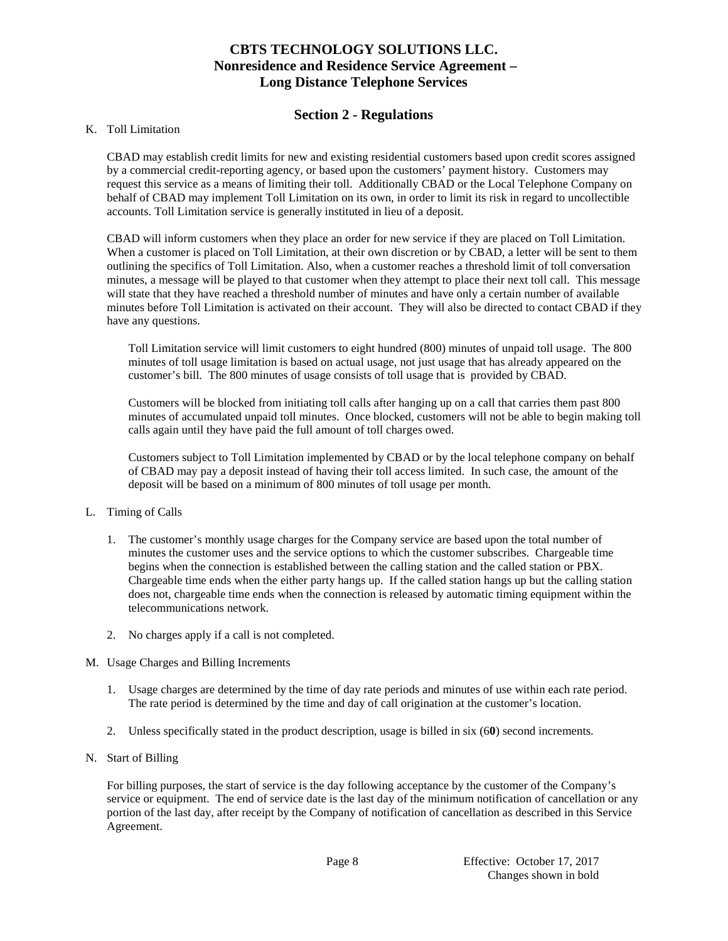## **Section 2 - Regulations**

### K. Toll Limitation

CBAD may establish credit limits for new and existing residential customers based upon credit scores assigned by a commercial credit-reporting agency, or based upon the customers' payment history. Customers may request this service as a means of limiting their toll. Additionally CBAD or the Local Telephone Company on behalf of CBAD may implement Toll Limitation on its own, in order to limit its risk in regard to uncollectible accounts. Toll Limitation service is generally instituted in lieu of a deposit.

CBAD will inform customers when they place an order for new service if they are placed on Toll Limitation. When a customer is placed on Toll Limitation, at their own discretion or by CBAD, a letter will be sent to them outlining the specifics of Toll Limitation. Also, when a customer reaches a threshold limit of toll conversation minutes, a message will be played to that customer when they attempt to place their next toll call. This message will state that they have reached a threshold number of minutes and have only a certain number of available minutes before Toll Limitation is activated on their account. They will also be directed to contact CBAD if they have any questions.

Toll Limitation service will limit customers to eight hundred (800) minutes of unpaid toll usage. The 800 minutes of toll usage limitation is based on actual usage, not just usage that has already appeared on the customer's bill. The 800 minutes of usage consists of toll usage that is provided by CBAD.

Customers will be blocked from initiating toll calls after hanging up on a call that carries them past 800 minutes of accumulated unpaid toll minutes. Once blocked, customers will not be able to begin making toll calls again until they have paid the full amount of toll charges owed.

Customers subject to Toll Limitation implemented by CBAD or by the local telephone company on behalf of CBAD may pay a deposit instead of having their toll access limited. In such case, the amount of the deposit will be based on a minimum of 800 minutes of toll usage per month.

### L. Timing of Calls

- 1. The customer's monthly usage charges for the Company service are based upon the total number of minutes the customer uses and the service options to which the customer subscribes. Chargeable time begins when the connection is established between the calling station and the called station or PBX. Chargeable time ends when the either party hangs up. If the called station hangs up but the calling station does not, chargeable time ends when the connection is released by automatic timing equipment within the telecommunications network.
- 2. No charges apply if a call is not completed.

### M. Usage Charges and Billing Increments

- 1. Usage charges are determined by the time of day rate periods and minutes of use within each rate period. The rate period is determined by the time and day of call origination at the customer's location.
- 2. Unless specifically stated in the product description, usage is billed in six (6**0**) second increments.
- N. Start of Billing

For billing purposes, the start of service is the day following acceptance by the customer of the Company's service or equipment. The end of service date is the last day of the minimum notification of cancellation or any portion of the last day, after receipt by the Company of notification of cancellation as described in this Service Agreement.